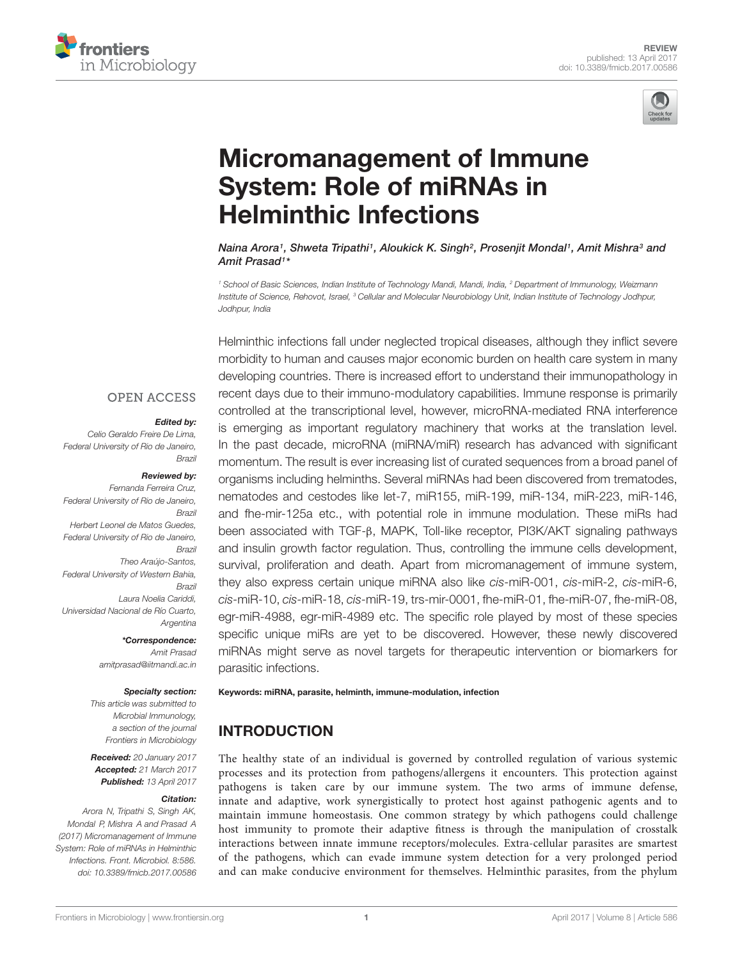



# Micromanagement of Immune System: Role of miRNAs in Helminthic Infections

Naina Arora1, Shweta Tripathi1, Aloukick K. Singh<sup>2</sup>, Prosenjit Mondal1, Amit Mishra<sup>3</sup> and Amit Prasad<sup>1</sup>\*

<sup>1</sup> School of Basic Sciences, Indian Institute of Technology Mandi, Mandi, India, <sup>2</sup> Department of Immunology, Weizmann Institute of Science, Rehovot, Israel, <sup>3</sup> Cellular and Molecular Neurobiology Unit, Indian Institute of Technology Jodhpur, Jodhpur, India

Helminthic infections fall under neglected tropical diseases, although they inflict severe morbidity to human and causes major economic burden on health care system in many developing countries. There is increased effort to understand their immunopathology in recent days due to their immuno-modulatory capabilities. Immune response is primarily controlled at the transcriptional level, however, microRNA-mediated RNA interference is emerging as important regulatory machinery that works at the translation level. In the past decade, microRNA (miRNA/miR) research has advanced with significant momentum. The result is ever increasing list of curated sequences from a broad panel of organisms including helminths. Several miRNAs had been discovered from trematodes, nematodes and cestodes like let-7, miR155, miR-199, miR-134, miR-223, miR-146, and fhe-mir-125a etc., with potential role in immune modulation. These miRs had been associated with TGF-β, MAPK, Toll-like receptor, PI3K/AKT signaling pathways and insulin growth factor regulation. Thus, controlling the immune cells development, survival, proliferation and death. Apart from micromanagement of immune system, they also express certain unique miRNA also like cis-miR-001, cis-miR-2, cis-miR-6, cis-miR-10, cis-miR-18, cis-miR-19, trs-mir-0001, fhe-miR-01, fhe-miR-07, fhe-miR-08, egr-miR-4988, egr-miR-4989 etc. The specific role played by most of these species specific unique miRs are yet to be discovered. However, these newly discovered miRNAs might serve as novel targets for therapeutic intervention or biomarkers for parasitic infections.

#### **OPEN ACCESS**

#### Edited by:

Celio Geraldo Freire De Lima, Federal University of Rio de Janeiro, Brazil

#### Reviewed by:

Fernanda Ferreira Cruz, Federal University of Rio de Janeiro, Brazil Herbert Leonel de Matos Guedes, Federal University of Rio de Janeiro, Brazil Theo Araújo-Santos, Federal University of Western Bahia, Brazil Laura Noelia Cariddi, Universidad Nacional de Río Cuarto, Argentina

> \*Correspondence: Amit Prasad amitprasad@iitmandi.ac.in

#### Specialty section:

This article was submitted to Microbial Immunology, a section of the journal Frontiers in Microbiology

Received: 20 January 2017 Accepted: 21 March 2017 Published: 13 April 2017

#### Citation:

Arora N, Tripathi S, Singh AK, Mondal P, Mishra A and Prasad A (2017) Micromanagement of Immune System: Role of miRNAs in Helminthic Infections. Front. Microbiol. 8:586. doi: 10.3389/fmicb.2017.00586 Keywords: miRNA, parasite, helminth, immune-modulation, infection

### INTRODUCTION

The healthy state of an individual is governed by controlled regulation of various systemic processes and its protection from pathogens/allergens it encounters. This protection against pathogens is taken care by our immune system. The two arms of immune defense, innate and adaptive, work synergistically to protect host against pathogenic agents and to maintain immune homeostasis. One common strategy by which pathogens could challenge host immunity to promote their adaptive fitness is through the manipulation of crosstalk interactions between innate immune receptors/molecules. Extra-cellular parasites are smartest of the pathogens, which can evade immune system detection for a very prolonged period and can make conducive environment for themselves. Helminthic parasites, from the phylum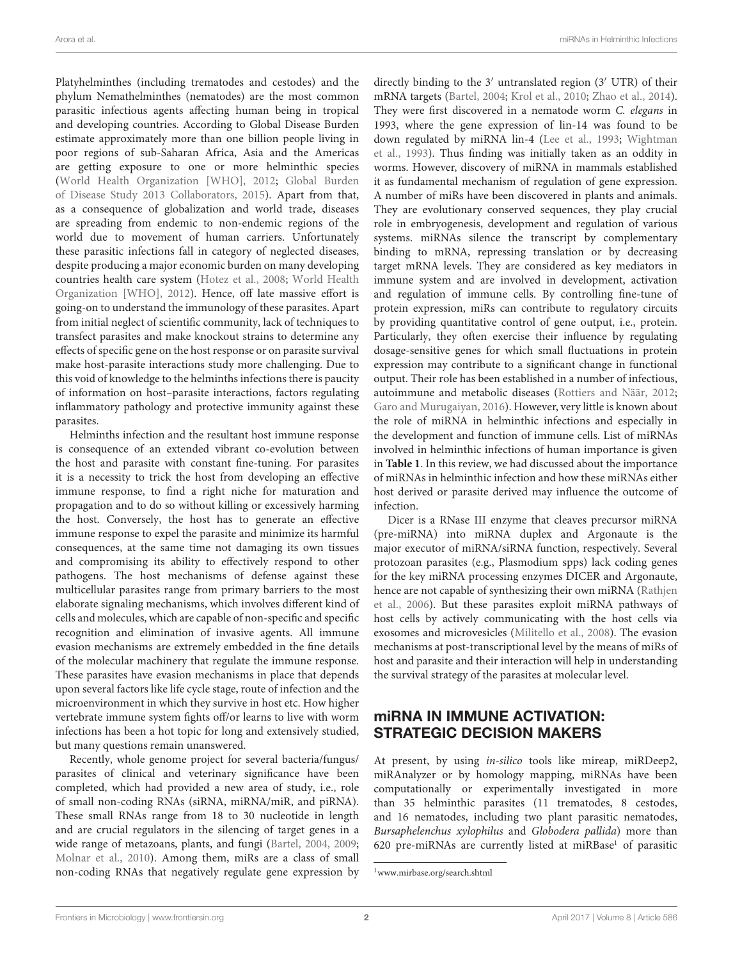Platyhelminthes (including trematodes and cestodes) and the phylum Nemathelminthes (nematodes) are the most common parasitic infectious agents affecting human being in tropical and developing countries. According to Global Disease Burden estimate approximately more than one billion people living in poor regions of sub-Saharan Africa, Asia and the Americas are getting exposure to one or more helminthic species (World Health Organization [WHO], 2012; Global Burden of Disease Study 2013 Collaborators, 2015). Apart from that, as a consequence of globalization and world trade, diseases are spreading from endemic to non-endemic regions of the world due to movement of human carriers. Unfortunately these parasitic infections fall in category of neglected diseases, despite producing a major economic burden on many developing countries health care system (Hotez et al., 2008; World Health Organization [WHO], 2012). Hence, off late massive effort is going-on to understand the immunology of these parasites. Apart from initial neglect of scientific community, lack of techniques to transfect parasites and make knockout strains to determine any effects of specific gene on the host response or on parasite survival make host-parasite interactions study more challenging. Due to this void of knowledge to the helminths infections there is paucity of information on host–parasite interactions, factors regulating inflammatory pathology and protective immunity against these parasites.

Helminths infection and the resultant host immune response is consequence of an extended vibrant co-evolution between the host and parasite with constant fine-tuning. For parasites it is a necessity to trick the host from developing an effective immune response, to find a right niche for maturation and propagation and to do so without killing or excessively harming the host. Conversely, the host has to generate an effective immune response to expel the parasite and minimize its harmful consequences, at the same time not damaging its own tissues and compromising its ability to effectively respond to other pathogens. The host mechanisms of defense against these multicellular parasites range from primary barriers to the most elaborate signaling mechanisms, which involves different kind of cells and molecules, which are capable of non-specific and specific recognition and elimination of invasive agents. All immune evasion mechanisms are extremely embedded in the fine details of the molecular machinery that regulate the immune response. These parasites have evasion mechanisms in place that depends upon several factors like life cycle stage, route of infection and the microenvironment in which they survive in host etc. How higher vertebrate immune system fights off/or learns to live with worm infections has been a hot topic for long and extensively studied, but many questions remain unanswered.

Recently, whole genome project for several bacteria/fungus/ parasites of clinical and veterinary significance have been completed, which had provided a new area of study, i.e., role of small non-coding RNAs (siRNA, miRNA/miR, and piRNA). These small RNAs range from 18 to 30 nucleotide in length and are crucial regulators in the silencing of target genes in a wide range of metazoans, plants, and fungi (Bartel, 2004, 2009; Molnar et al., 2010). Among them, miRs are a class of small non-coding RNAs that negatively regulate gene expression by

directly binding to the 3′ untranslated region (3′ UTR) of their mRNA targets (Bartel, 2004; Krol et al., 2010; Zhao et al., 2014). They were first discovered in a nematode worm C. elegans in 1993, where the gene expression of lin-14 was found to be down regulated by miRNA lin-4 (Lee et al., 1993; Wightman et al., 1993). Thus finding was initially taken as an oddity in worms. However, discovery of miRNA in mammals established it as fundamental mechanism of regulation of gene expression. A number of miRs have been discovered in plants and animals. They are evolutionary conserved sequences, they play crucial role in embryogenesis, development and regulation of various systems. miRNAs silence the transcript by complementary binding to mRNA, repressing translation or by decreasing target mRNA levels. They are considered as key mediators in immune system and are involved in development, activation and regulation of immune cells. By controlling fine-tune of protein expression, miRs can contribute to regulatory circuits by providing quantitative control of gene output, i.e., protein. Particularly, they often exercise their influence by regulating dosage-sensitive genes for which small fluctuations in protein expression may contribute to a significant change in functional output. Their role has been established in a number of infectious, autoimmune and metabolic diseases (Rottiers and Näär, 2012; Garo and Murugaiyan, 2016). However, very little is known about the role of miRNA in helminthic infections and especially in the development and function of immune cells. List of miRNAs involved in helminthic infections of human importance is given in **Table 1**. In this review, we had discussed about the importance of miRNAs in helminthic infection and how these miRNAs either host derived or parasite derived may influence the outcome of infection.

Dicer is a RNase III enzyme that cleaves precursor miRNA (pre-miRNA) into miRNA duplex and Argonaute is the major executor of miRNA/siRNA function, respectively. Several protozoan parasites (e.g., Plasmodium spps) lack coding genes for the key miRNA processing enzymes DICER and Argonaute, hence are not capable of synthesizing their own miRNA (Rathjen et al., 2006). But these parasites exploit miRNA pathways of host cells by actively communicating with the host cells via exosomes and microvesicles (Militello et al., 2008). The evasion mechanisms at post-transcriptional level by the means of miRs of host and parasite and their interaction will help in understanding the survival strategy of the parasites at molecular level.

### miRNA IN IMMUNE ACTIVATION: STRATEGIC DECISION MAKERS

At present, by using in-silico tools like mireap, miRDeep2, miRAnalyzer or by homology mapping, miRNAs have been computationally or experimentally investigated in more than 35 helminthic parasites (11 trematodes, 8 cestodes, and 16 nematodes, including two plant parasitic nematodes, Bursaphelenchus xylophilus and Globodera pallida) more than 620 pre-miRNAs are currently listed at miRBase<sup>1</sup> of parasitic

<sup>1</sup>www.mirbase.org/search.shtml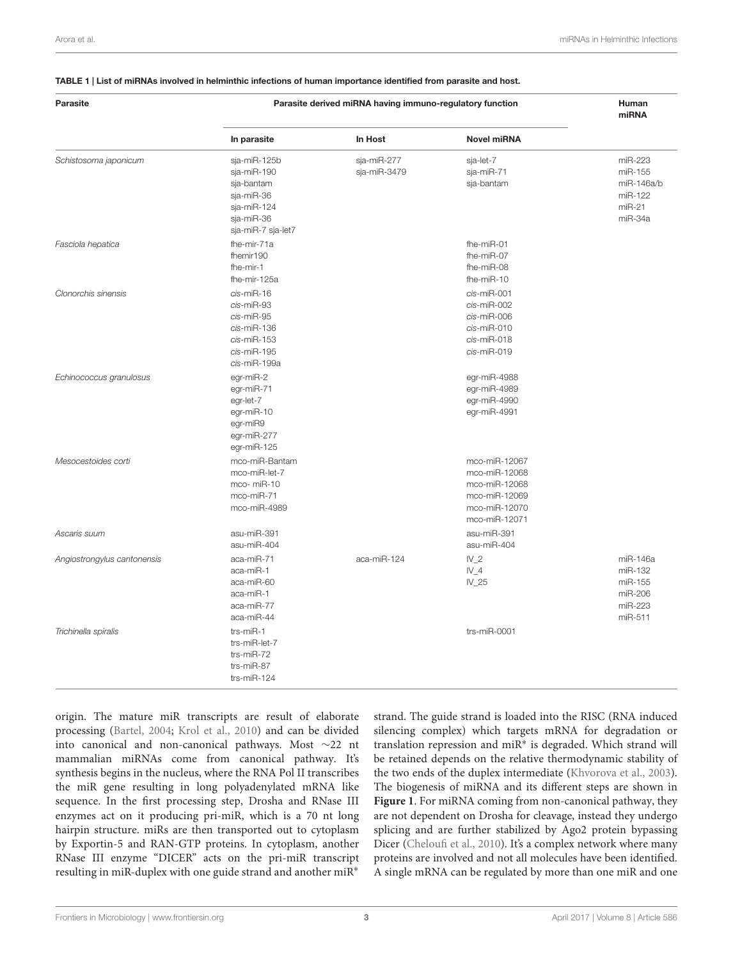#### TABLE 1 | List of miRNAs involved in helminthic infections of human importance identified from parasite and host.

| Parasite                    | Parasite derived miRNA having immuno-regulatory function                                                   |                             |                                                                                                    | Human<br>miRNA                                                     |
|-----------------------------|------------------------------------------------------------------------------------------------------------|-----------------------------|----------------------------------------------------------------------------------------------------|--------------------------------------------------------------------|
|                             | In parasite                                                                                                | In Host                     | <b>Novel miRNA</b>                                                                                 |                                                                    |
| Schistosoma japonicum       | sja-miR-125b<br>sja-miR-190<br>sja-bantam<br>sja-miR-36<br>sja-miR-124<br>sja-miR-36<br>sja-miR-7 sja-let7 | sja-miR-277<br>sja-miR-3479 | sja-let-7<br>sja-miR-71<br>sja-bantam                                                              | miR-223<br>miR-155<br>miR-146a/b<br>miR-122<br>$miR-21$<br>miR-34a |
| Fasciola hepatica           | fhe-mir-71a<br>fhemir190<br>fhe-mir-1<br>fhe-mir-125a                                                      |                             | fhe-miR-01<br>fhe-miR-07<br>fhe-miR-08<br>fhe-miR-10                                               |                                                                    |
| Clonorchis sinensis         | cis-miR-16<br>cis-miR-93<br>cis-miR-95<br>cis-miR-136<br>cis-miR-153<br>cis-miR-195<br>cis-miR-199a        |                             | cis-miR-001<br>cis-miR-002<br>cis-miR-006<br>cis-miR-010<br>cis-miR-018<br>cis-miR-019             |                                                                    |
| Echinococcus granulosus     | egr-miR-2<br>egr-miR-71<br>egr-let-7<br>egr-miR-10<br>egr-miR9<br>egr-miR-277<br>egr-miR-125               |                             | egr-miR-4988<br>egr-miR-4989<br>egr-miR-4990<br>egr-miR-4991                                       |                                                                    |
| Mesocestoides corti         | mco-miR-Bantam<br>mco-miR-let-7<br>mco-miR-10<br>mco-miR-71<br>mco-miR-4989                                |                             | mco-miR-12067<br>mco-miR-12068<br>mco-miR-12068<br>mco-miR-12069<br>mco-miR-12070<br>mco-miR-12071 |                                                                    |
| Ascaris suum                | asu-miR-391<br>asu-miR-404                                                                                 |                             | asu-miR-391<br>asu-miR-404                                                                         |                                                                    |
| Angiostrongylus cantonensis | aca-miR-71<br>aca-miR-1<br>aca-miR-60<br>aca-miR-1<br>aca-miR-77<br>aca-miR-44                             | aca-miR-124                 | N <sub>2</sub><br>IV4<br>$IV_25$                                                                   | miR-146a<br>miR-132<br>miR-155<br>miR-206<br>miR-223<br>miR-511    |
| Trichinella spiralis        | trs-miR-1<br>trs-miR-let-7<br>trs-miR-72<br>trs-miR-87<br>trs-miR-124                                      |                             | trs-miR-0001                                                                                       |                                                                    |

origin. The mature miR transcripts are result of elaborate processing (Bartel, 2004; Krol et al., 2010) and can be divided into canonical and non-canonical pathways. Most ∼22 nt mammalian miRNAs come from canonical pathway. It's synthesis begins in the nucleus, where the RNA Pol II transcribes the miR gene resulting in long polyadenylated mRNA like sequence. In the first processing step, Drosha and RNase III enzymes act on it producing pri-miR, which is a 70 nt long hairpin structure. miRs are then transported out to cytoplasm by Exportin-5 and RAN-GTP proteins. In cytoplasm, another RNase III enzyme "DICER" acts on the pri-miR transcript resulting in miR-duplex with one guide strand and another miR<sup>∗</sup>

strand. The guide strand is loaded into the RISC (RNA induced silencing complex) which targets mRNA for degradation or translation repression and miR<sup>∗</sup> is degraded. Which strand will be retained depends on the relative thermodynamic stability of the two ends of the duplex intermediate (Khvorova et al., 2003). The biogenesis of miRNA and its different steps are shown in **Figure 1**. For miRNA coming from non-canonical pathway, they are not dependent on Drosha for cleavage, instead they undergo splicing and are further stabilized by Ago2 protein bypassing Dicer (Cheloufi et al., 2010). It's a complex network where many proteins are involved and not all molecules have been identified. A single mRNA can be regulated by more than one miR and one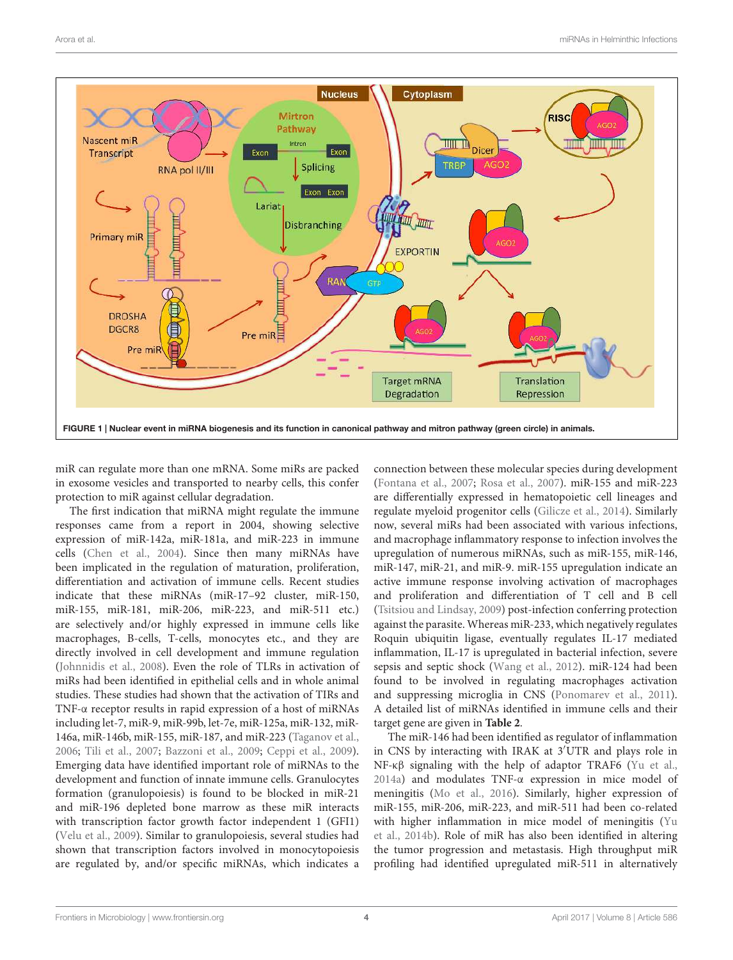

miR can regulate more than one mRNA. Some miRs are packed in exosome vesicles and transported to nearby cells, this confer protection to miR against cellular degradation.

The first indication that miRNA might regulate the immune responses came from a report in 2004, showing selective expression of miR-142a, miR-181a, and miR-223 in immune cells (Chen et al., 2004). Since then many miRNAs have been implicated in the regulation of maturation, proliferation, differentiation and activation of immune cells. Recent studies indicate that these miRNAs (miR-17–92 cluster, miR-150, miR-155, miR-181, miR-206, miR-223, and miR-511 etc.) are selectively and/or highly expressed in immune cells like macrophages, B-cells, T-cells, monocytes etc., and they are directly involved in cell development and immune regulation (Johnnidis et al., 2008). Even the role of TLRs in activation of miRs had been identified in epithelial cells and in whole animal studies. These studies had shown that the activation of TIRs and TNF-α receptor results in rapid expression of a host of miRNAs including let-7, miR-9, miR-99b, let-7e, miR-125a, miR-132, miR-146a, miR-146b, miR-155, miR-187, and miR-223 (Taganov et al., 2006; Tili et al., 2007; Bazzoni et al., 2009; Ceppi et al., 2009). Emerging data have identified important role of miRNAs to the development and function of innate immune cells. Granulocytes formation (granulopoiesis) is found to be blocked in miR-21 and miR-196 depleted bone marrow as these miR interacts with transcription factor growth factor independent 1 (GFI1) (Velu et al., 2009). Similar to granulopoiesis, several studies had shown that transcription factors involved in monocytopoiesis are regulated by, and/or specific miRNAs, which indicates a

connection between these molecular species during development (Fontana et al., 2007; Rosa et al., 2007). miR-155 and miR-223 are differentially expressed in hematopoietic cell lineages and regulate myeloid progenitor cells (Gilicze et al., 2014). Similarly now, several miRs had been associated with various infections, and macrophage inflammatory response to infection involves the upregulation of numerous miRNAs, such as miR-155, miR-146, miR-147, miR-21, and miR-9. miR-155 upregulation indicate an active immune response involving activation of macrophages and proliferation and differentiation of T cell and B cell (Tsitsiou and Lindsay, 2009) post-infection conferring protection against the parasite. Whereas miR-233, which negatively regulates Roquin ubiquitin ligase, eventually regulates IL-17 mediated inflammation, IL-17 is upregulated in bacterial infection, severe sepsis and septic shock (Wang et al., 2012). miR-124 had been found to be involved in regulating macrophages activation and suppressing microglia in CNS (Ponomarev et al., 2011). A detailed list of miRNAs identified in immune cells and their target gene are given in **Table 2**.

The miR-146 had been identified as regulator of inflammation in CNS by interacting with IRAK at 3′UTR and plays role in NF-κβ signaling with the help of adaptor TRAF6 (Yu et al., 2014a) and modulates TNF-α expression in mice model of meningitis (Mo et al., 2016). Similarly, higher expression of miR-155, miR-206, miR-223, and miR-511 had been co-related with higher inflammation in mice model of meningitis (Yu et al., 2014b). Role of miR has also been identified in altering the tumor progression and metastasis. High throughput miR profiling had identified upregulated miR-511 in alternatively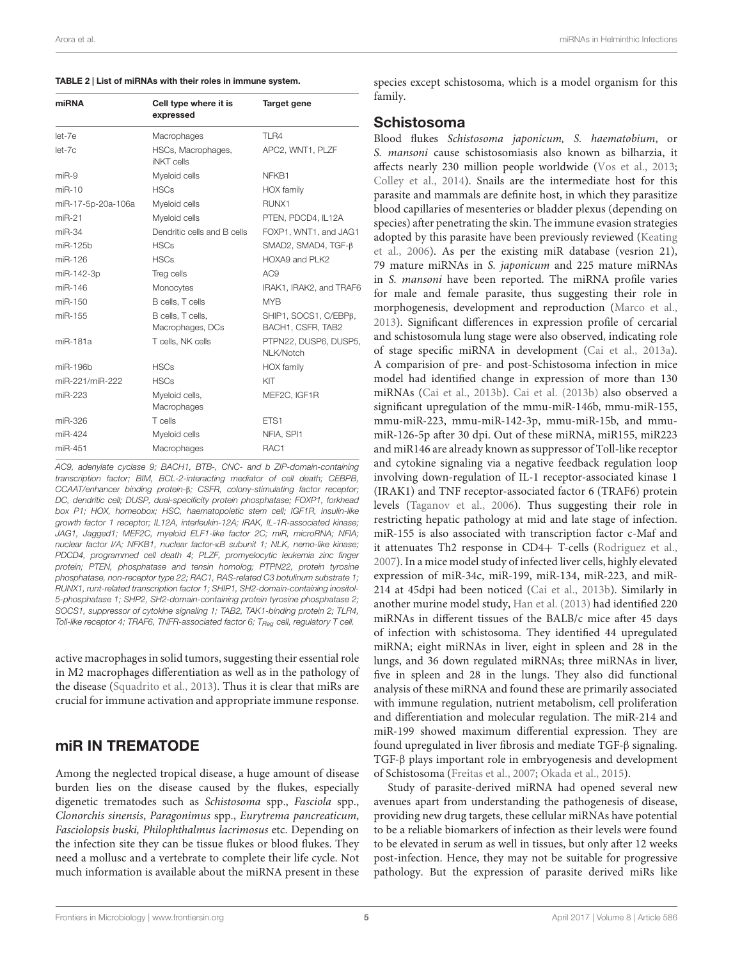| miRNA              | Cell type where it is                   | Target gene                                |  |
|--------------------|-----------------------------------------|--------------------------------------------|--|
|                    | expressed                               |                                            |  |
| $let-7e$           | Macrophages                             | <b>TLR4</b>                                |  |
| $let-7c$           | HSCs, Macrophages,<br><b>iNKT</b> cells | APC2, WNT1, PLZF                           |  |
| $miR-9$            | Myeloid cells                           | NFKB1                                      |  |
| $miR-10$           | <b>HSCs</b>                             | <b>HOX</b> family                          |  |
| miR-17-5p-20a-106a | Myeloid cells                           | RUNX1                                      |  |
| $miR-21$           | Myeloid cells                           | PTEN, PDCD4, IL12A                         |  |
| $miR-34$           | Dendritic cells and B cells             | FOXP1, WNT1, and JAG1                      |  |
| miR-125b           | <b>HSCs</b>                             | SMAD2, SMAD4, TGF-B                        |  |
| miR-126            | <b>HSCs</b>                             | HOXA9 and PLK2                             |  |
| miR-142-3p         | Treg cells                              | AC <sub>9</sub>                            |  |
| miR-146            | Monocytes                               | IRAK1, IRAK2, and TRAF6                    |  |
| $miR-150$          | B cells, T cells                        | <b>MYB</b>                                 |  |
| miR-155            | B cells, T cells,<br>Macrophages, DCs   | SHIP1, SOCS1, C/EBPB,<br>BACH1, CSFR, TAB2 |  |
| miR-181a           | T cells, NK cells                       | PTPN22, DUSP6, DUSP5,<br>NLK/Notch         |  |
| miR-196b           | <b>HSCs</b>                             | <b>HOX</b> family                          |  |
| miR-221/miR-222    | <b>HSCs</b>                             | KIT                                        |  |
| miR-223            | Myeloid cells,<br>Macrophages           | MEF2C, IGF1R                               |  |
| miR-326            | T cells                                 | ETS1                                       |  |
| miR-424            | Myeloid cells                           | NFIA, SPI1                                 |  |
| miR-451            | Macrophages                             | RAC1                                       |  |

AC9, adenylate cyclase 9; BACH1, BTB-, CNC- and b ZIP-domain-containing transcription factor; BIM, BCL-2-interacting mediator of cell death; CEBPB, CCAAT/enhancer binding protein-β; CSFR, colony-stimulating factor receptor; DC, dendritic cell; DUSP, dual-specificity protein phosphatase; FOXP1, forkhead box P1; HOX, homeobox; HSC, haematopoietic stem cell; IGF1R, insulin-like growth factor 1 receptor; IL12A, interleukin-12A; IRAK, IL-1R-associated kinase; JAG1, Jagged1; MEF2C, myeloid ELF1-like factor 2C; miR, microRNA; NFIA; nuclear factor I/A; NFKB1, nuclear factor-κB subunit 1; NLK, nemo-like kinase; PDCD4, programmed cell death 4; PLZF, promyelocytic leukemia zinc finger protein; PTEN, phosphatase and tensin homolog; PTPN22, protein tyrosine phosphatase, non-receptor type 22; RAC1, RAS-related C3 botulinum substrate 1; RUNX1, runt-related transcription factor 1; SHIP1, SH2-domain-containing inositol-5-phosphatase 1; SHP2, SH2-domain-containing protein tyrosine phosphatase 2; SOCS1, suppressor of cytokine signaling 1; TAB2, TAK1-binding protein 2; TLR4, Toll-like receptor 4; TRAF6, TNFR-associated factor 6;  $T_{\text{Reg}}$  cell, regulatory T cell.

active macrophages in solid tumors, suggesting their essential role in M2 macrophages differentiation as well as in the pathology of the disease (Squadrito et al., 2013). Thus it is clear that miRs are crucial for immune activation and appropriate immune response.

### miR IN TREMATODE

Among the neglected tropical disease, a huge amount of disease burden lies on the disease caused by the flukes, especially digenetic trematodes such as Schistosoma spp., Fasciola spp., Clonorchis sinensis, Paragonimus spp., Eurytrema pancreaticum, Fasciolopsis buski, Philophthalmus lacrimosus etc. Depending on the infection site they can be tissue flukes or blood flukes. They need a mollusc and a vertebrate to complete their life cycle. Not much information is available about the miRNA present in these

species except schistosoma, which is a model organism for this family.

#### Schistosoma

Blood flukes Schistosoma japonicum, S. haematobium, or S. mansoni cause schistosomiasis also known as bilharzia, it affects nearly 230 million people worldwide (Vos et al., 2013; Colley et al., 2014). Snails are the intermediate host for this parasite and mammals are definite host, in which they parasitize blood capillaries of mesenteries or bladder plexus (depending on species) after penetrating the skin. The immune evasion strategies adopted by this parasite have been previously reviewed (Keating et al., 2006). As per the existing miR database (vesrion 21), 79 mature miRNAs in S. japonicum and 225 mature miRNAs in S. mansoni have been reported. The miRNA profile varies for male and female parasite, thus suggesting their role in morphogenesis, development and reproduction (Marco et al., 2013). Significant differences in expression profile of cercarial and schistosomula lung stage were also observed, indicating role of stage specific miRNA in development (Cai et al., 2013a). A comparision of pre- and post-Schistosoma infection in mice model had identified change in expression of more than 130 miRNAs (Cai et al., 2013b). Cai et al. (2013b) also observed a significant upregulation of the mmu-miR-146b, mmu-miR-155, mmu-miR-223, mmu-miR-142-3p, mmu-miR-15b, and mmumiR-126-5p after 30 dpi. Out of these miRNA, miR155, miR223 and miR146 are already known as suppressor of Toll-like receptor and cytokine signaling via a negative feedback regulation loop involving down-regulation of IL-1 receptor-associated kinase 1 (IRAK1) and TNF receptor-associated factor 6 (TRAF6) protein levels (Taganov et al., 2006). Thus suggesting their role in restricting hepatic pathology at mid and late stage of infection. miR-155 is also associated with transcription factor c-Maf and it attenuates Th2 response in CD4+ T-cells (Rodriguez et al., 2007). In a mice model study of infected liver cells, highly elevated expression of miR-34c, miR-199, miR-134, miR-223, and miR-214 at 45dpi had been noticed (Cai et al., 2013b). Similarly in another murine model study, Han et al. (2013) had identified 220 miRNAs in different tissues of the BALB/c mice after 45 days of infection with schistosoma. They identified 44 upregulated miRNA; eight miRNAs in liver, eight in spleen and 28 in the lungs, and 36 down regulated miRNAs; three miRNAs in liver, five in spleen and 28 in the lungs. They also did functional analysis of these miRNA and found these are primarily associated with immune regulation, nutrient metabolism, cell proliferation and differentiation and molecular regulation. The miR-214 and miR-199 showed maximum differential expression. They are found upregulated in liver fibrosis and mediate TGF-β signaling. TGF-β plays important role in embryogenesis and development of Schistosoma (Freitas et al., 2007; Okada et al., 2015).

Study of parasite-derived miRNA had opened several new avenues apart from understanding the pathogenesis of disease, providing new drug targets, these cellular miRNAs have potential to be a reliable biomarkers of infection as their levels were found to be elevated in serum as well in tissues, but only after 12 weeks post-infection. Hence, they may not be suitable for progressive pathology. But the expression of parasite derived miRs like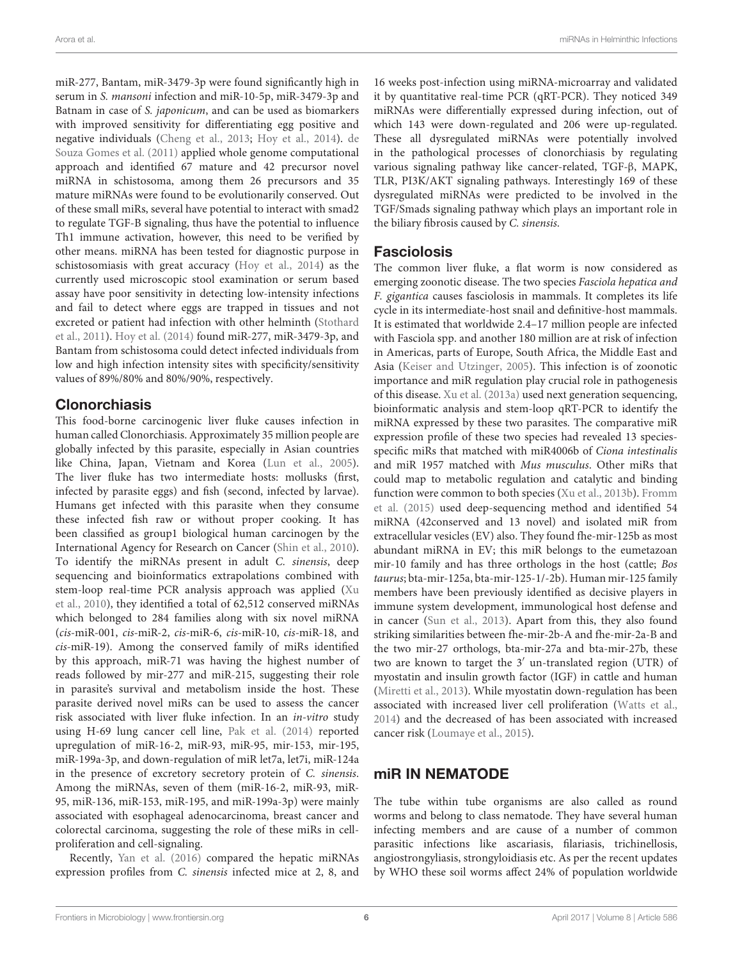miR-277, Bantam, miR-3479-3p were found significantly high in serum in S. mansoni infection and miR-10-5p, miR-3479-3p and Batnam in case of S. japonicum, and can be used as biomarkers with improved sensitivity for differentiating egg positive and negative individuals (Cheng et al., 2013; Hoy et al., 2014). de Souza Gomes et al. (2011) applied whole genome computational approach and identified 67 mature and 42 precursor novel miRNA in schistosoma, among them 26 precursors and 35 mature miRNAs were found to be evolutionarily conserved. Out of these small miRs, several have potential to interact with smad2 to regulate TGF-B signaling, thus have the potential to influence Th1 immune activation, however, this need to be verified by other means. miRNA has been tested for diagnostic purpose in schistosomiasis with great accuracy (Hoy et al., 2014) as the currently used microscopic stool examination or serum based assay have poor sensitivity in detecting low-intensity infections and fail to detect where eggs are trapped in tissues and not excreted or patient had infection with other helminth (Stothard et al., 2011). Hoy et al. (2014) found miR-277, miR-3479-3p, and Bantam from schistosoma could detect infected individuals from low and high infection intensity sites with specificity/sensitivity values of 89%/80% and 80%/90%, respectively.

### Clonorchiasis

This food-borne carcinogenic liver fluke causes infection in human called Clonorchiasis. Approximately 35 million people are globally infected by this parasite, especially in Asian countries like China, Japan, Vietnam and Korea (Lun et al., 2005). The liver fluke has two intermediate hosts: mollusks (first, infected by parasite eggs) and fish (second, infected by larvae). Humans get infected with this parasite when they consume these infected fish raw or without proper cooking. It has been classified as group1 biological human carcinogen by the International Agency for Research on Cancer (Shin et al., 2010). To identify the miRNAs present in adult C. sinensis, deep sequencing and bioinformatics extrapolations combined with stem-loop real-time PCR analysis approach was applied (Xu et al., 2010), they identified a total of 62,512 conserved miRNAs which belonged to 284 families along with six novel miRNA (cis-miR-001, cis-miR-2, cis-miR-6, cis-miR-10, cis-miR-18, and cis-miR-19). Among the conserved family of miRs identified by this approach, miR-71 was having the highest number of reads followed by mir-277 and miR-215, suggesting their role in parasite's survival and metabolism inside the host. These parasite derived novel miRs can be used to assess the cancer risk associated with liver fluke infection. In an in-vitro study using H-69 lung cancer cell line, Pak et al. (2014) reported upregulation of miR-16-2, miR-93, miR-95, mir-153, mir-195, miR-199a-3p, and down-regulation of miR let7a, let7i, miR-124a in the presence of excretory secretory protein of C. sinensis. Among the miRNAs, seven of them (miR-16-2, miR-93, miR-95, miR-136, miR-153, miR-195, and miR-199a-3p) were mainly associated with esophageal adenocarcinoma, breast cancer and colorectal carcinoma, suggesting the role of these miRs in cellproliferation and cell-signaling.

Recently, Yan et al. (2016) compared the hepatic miRNAs expression profiles from C. sinensis infected mice at 2, 8, and

16 weeks post-infection using miRNA-microarray and validated it by quantitative real-time PCR (qRT-PCR). They noticed 349 miRNAs were differentially expressed during infection, out of which 143 were down-regulated and 206 were up-regulated. These all dysregulated miRNAs were potentially involved in the pathological processes of clonorchiasis by regulating various signaling pathway like cancer-related, TGF-β, MAPK, TLR, PI3K/AKT signaling pathways. Interestingly 169 of these dysregulated miRNAs were predicted to be involved in the TGF/Smads signaling pathway which plays an important role in the biliary fibrosis caused by C. sinensis.

### Fasciolosis

The common liver fluke, a flat worm is now considered as emerging zoonotic disease. The two species Fasciola hepatica and F. gigantica causes fasciolosis in mammals. It completes its life cycle in its intermediate-host snail and definitive-host mammals. It is estimated that worldwide 2.4–17 million people are infected with Fasciola spp. and another 180 million are at risk of infection in Americas, parts of Europe, South Africa, the Middle East and Asia (Keiser and Utzinger, 2005). This infection is of zoonotic importance and miR regulation play crucial role in pathogenesis of this disease. Xu et al. (2013a) used next generation sequencing, bioinformatic analysis and stem-loop qRT-PCR to identify the miRNA expressed by these two parasites. The comparative miR expression profile of these two species had revealed 13 speciesspecific miRs that matched with miR4006b of Ciona intestinalis and miR 1957 matched with Mus musculus. Other miRs that could map to metabolic regulation and catalytic and binding function were common to both species (Xu et al., 2013b). Fromm et al. (2015) used deep-sequencing method and identified 54 miRNA (42conserved and 13 novel) and isolated miR from extracellular vesicles (EV) also. They found fhe-mir-125b as most abundant miRNA in EV; this miR belongs to the eumetazoan mir-10 family and has three orthologs in the host (cattle; Bos taurus; bta-mir-125a, bta-mir-125-1/-2b). Human mir-125 family members have been previously identified as decisive players in immune system development, immunological host defense and in cancer (Sun et al., 2013). Apart from this, they also found striking similarities between fhe-mir-2b-A and fhe-mir-2a-B and the two mir-27 orthologs, bta-mir-27a and bta-mir-27b, these two are known to target the 3′ un-translated region (UTR) of myostatin and insulin growth factor (IGF) in cattle and human (Miretti et al., 2013). While myostatin down-regulation has been associated with increased liver cell proliferation (Watts et al., 2014) and the decreased of has been associated with increased cancer risk (Loumaye et al., 2015).

### miR IN NEMATODE

The tube within tube organisms are also called as round worms and belong to class nematode. They have several human infecting members and are cause of a number of common parasitic infections like ascariasis, filariasis, trichinellosis, angiostrongyliasis, strongyloidiasis etc. As per the recent updates by WHO these soil worms affect 24% of population worldwide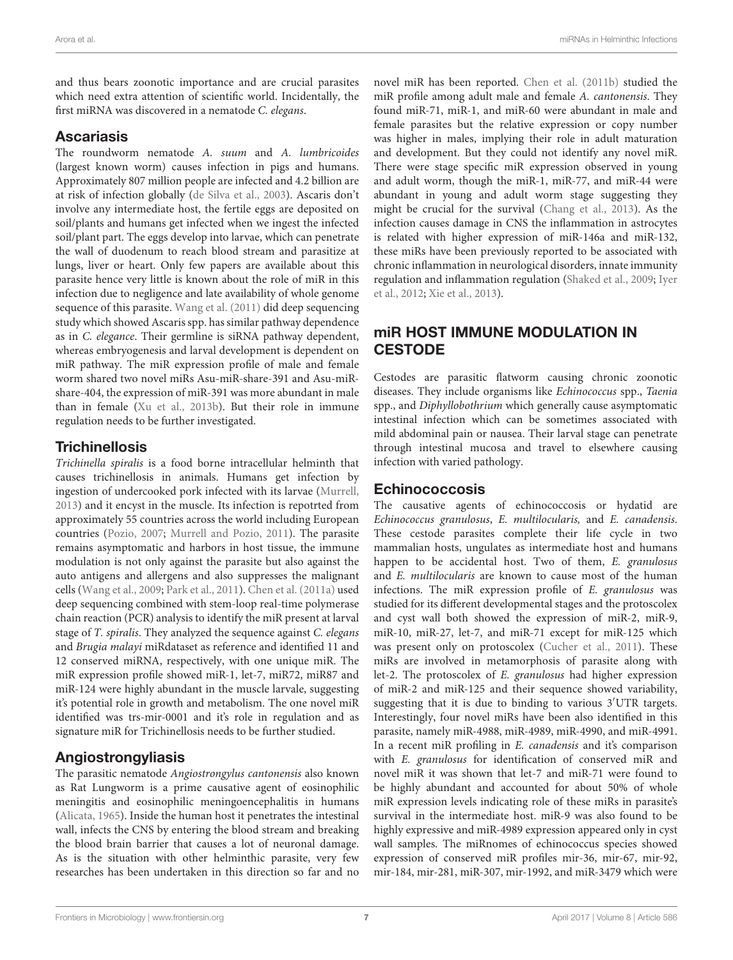and thus bears zoonotic importance and are crucial parasites which need extra attention of scientific world. Incidentally, the first miRNA was discovered in a nematode C. elegans.

### Ascariasis

The roundworm nematode A. suum and A. lumbricoides (largest known worm) causes infection in pigs and humans. Approximately 807 million people are infected and 4.2 billion are at risk of infection globally (de Silva et al., 2003). Ascaris don't involve any intermediate host, the fertile eggs are deposited on soil/plants and humans get infected when we ingest the infected soil/plant part. The eggs develop into larvae, which can penetrate the wall of duodenum to reach blood stream and parasitize at lungs, liver or heart. Only few papers are available about this parasite hence very little is known about the role of miR in this infection due to negligence and late availability of whole genome sequence of this parasite. Wang et al. (2011) did deep sequencing study which showed Ascaris spp. has similar pathway dependence as in C. elegance. Their germline is siRNA pathway dependent, whereas embryogenesis and larval development is dependent on miR pathway. The miR expression profile of male and female worm shared two novel miRs Asu-miR-share-391 and Asu-miRshare-404, the expression of miR-391 was more abundant in male than in female (Xu et al., 2013b). But their role in immune regulation needs to be further investigated.

# **Trichinellosis**

Trichinella spiralis is a food borne intracellular helminth that causes trichinellosis in animals. Humans get infection by ingestion of undercooked pork infected with its larvae (Murrell, 2013) and it encyst in the muscle. Its infection is repotrted from approximately 55 countries across the world including European countries (Pozio, 2007; Murrell and Pozio, 2011). The parasite remains asymptomatic and harbors in host tissue, the immune modulation is not only against the parasite but also against the auto antigens and allergens and also suppresses the malignant cells (Wang et al., 2009; Park et al., 2011). Chen et al. (2011a) used deep sequencing combined with stem-loop real-time polymerase chain reaction (PCR) analysis to identify the miR present at larval stage of T. spiralis. They analyzed the sequence against C. elegans and Brugia malayi miRdataset as reference and identified 11 and 12 conserved miRNA, respectively, with one unique miR. The miR expression profile showed miR-1, let-7, miR72, miR87 and miR-124 were highly abundant in the muscle larvale, suggesting it's potential role in growth and metabolism. The one novel miR identified was trs-mir-0001 and it's role in regulation and as signature miR for Trichinellosis needs to be further studied.

# Angiostrongyliasis

The parasitic nematode Angiostrongylus cantonensis also known as Rat Lungworm is a prime causative agent of eosinophilic meningitis and eosinophilic meningoencephalitis in humans (Alicata, 1965). Inside the human host it penetrates the intestinal wall, infects the CNS by entering the blood stream and breaking the blood brain barrier that causes a lot of neuronal damage. As is the situation with other helminthic parasite, very few researches has been undertaken in this direction so far and no

novel miR has been reported. Chen et al. (2011b) studied the miR profile among adult male and female A. cantonensis. They found miR-71, miR-1, and miR-60 were abundant in male and female parasites but the relative expression or copy number was higher in males, implying their role in adult maturation and development. But they could not identify any novel miR. There were stage specific miR expression observed in young and adult worm, though the miR-1, miR-77, and miR-44 were abundant in young and adult worm stage suggesting they might be crucial for the survival (Chang et al., 2013). As the infection causes damage in CNS the inflammation in astrocytes is related with higher expression of miR-146a and miR-132, these miRs have been previously reported to be associated with chronic inflammation in neurological disorders, innate immunity regulation and inflammation regulation (Shaked et al., 2009; Iyer et al., 2012; Xie et al., 2013).

# miR HOST IMMUNE MODULATION IN **CESTODE**

Cestodes are parasitic flatworm causing chronic zoonotic diseases. They include organisms like Echinococcus spp., Taenia spp., and Diphyllobothrium which generally cause asymptomatic intestinal infection which can be sometimes associated with mild abdominal pain or nausea. Their larval stage can penetrate through intestinal mucosa and travel to elsewhere causing infection with varied pathology.

# Echinococcosis

The causative agents of echinococcosis or hydatid are Echinococcus granulosus, E. multilocularis, and E. canadensis. These cestode parasites complete their life cycle in two mammalian hosts, ungulates as intermediate host and humans happen to be accidental host. Two of them, E. granulosus and E. multilocularis are known to cause most of the human infections. The miR expression profile of E. granulosus was studied for its different developmental stages and the protoscolex and cyst wall both showed the expression of miR-2, miR-9, miR-10, miR-27, let-7, and miR-71 except for miR-125 which was present only on protoscolex (Cucher et al., 2011). These miRs are involved in metamorphosis of parasite along with let-2. The protoscolex of E. granulosus had higher expression of miR-2 and miR-125 and their sequence showed variability, suggesting that it is due to binding to various 3′UTR targets. Interestingly, four novel miRs have been also identified in this parasite, namely miR-4988, miR-4989, miR-4990, and miR-4991. In a recent miR profiling in E. canadensis and it's comparison with E. granulosus for identification of conserved miR and novel miR it was shown that let-7 and miR-71 were found to be highly abundant and accounted for about 50% of whole miR expression levels indicating role of these miRs in parasite's survival in the intermediate host. miR-9 was also found to be highly expressive and miR-4989 expression appeared only in cyst wall samples. The miRnomes of echinococcus species showed expression of conserved miR profiles mir-36, mir-67, mir-92, mir-184, mir-281, miR-307, mir-1992, and miR-3479 which were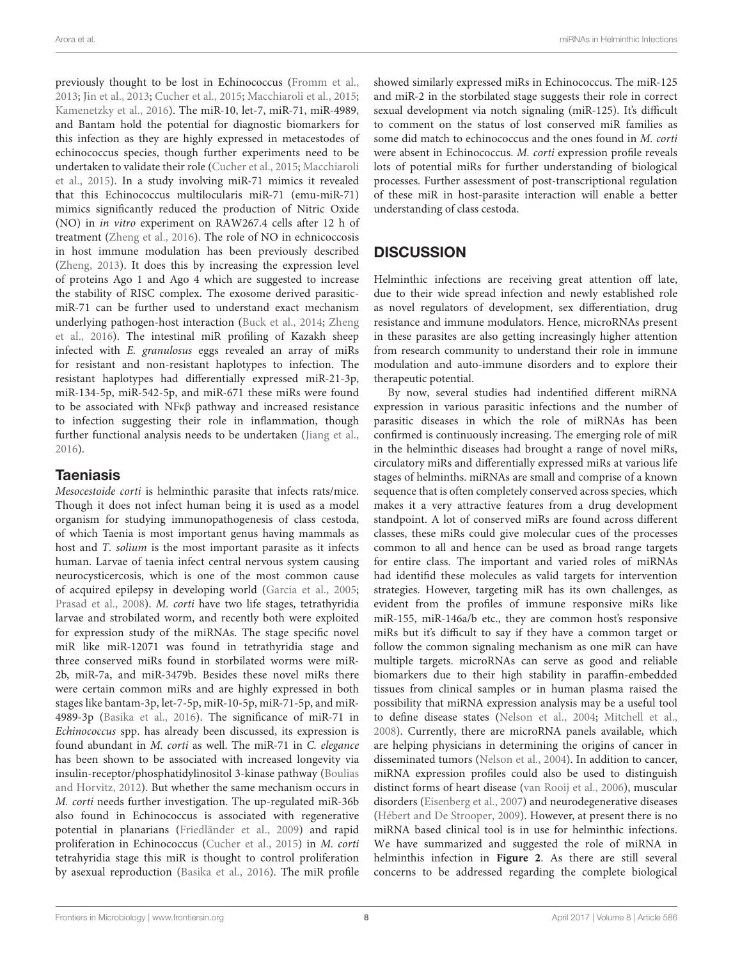previously thought to be lost in Echinococcus (Fromm et al., 2013; Jin et al., 2013; Cucher et al., 2015; Macchiaroli et al., 2015; Kamenetzky et al., 2016). The miR-10, let-7, miR-71, miR-4989, and Bantam hold the potential for diagnostic biomarkers for this infection as they are highly expressed in metacestodes of echinococcus species, though further experiments need to be undertaken to validate their role (Cucher et al., 2015; Macchiaroli et al., 2015). In a study involving miR-71 mimics it revealed that this Echinococcus multilocularis miR-71 (emu-miR-71) mimics significantly reduced the production of Nitric Oxide (NO) in in vitro experiment on RAW267.4 cells after 12 h of treatment (Zheng et al., 2016). The role of NO in echnicoccosis in host immune modulation has been previously described (Zheng, 2013). It does this by increasing the expression level of proteins Ago 1 and Ago 4 which are suggested to increase the stability of RISC complex. The exosome derived parasiticmiR-71 can be further used to understand exact mechanism underlying pathogen-host interaction (Buck et al., 2014; Zheng et al., 2016). The intestinal miR profiling of Kazakh sheep infected with E. granulosus eggs revealed an array of miRs for resistant and non-resistant haplotypes to infection. The resistant haplotypes had differentially expressed miR-21-3p, miR-134-5p, miR-542-5p, and miR-671 these miRs were found to be associated with NFκβ pathway and increased resistance to infection suggesting their role in inflammation, though further functional analysis needs to be undertaken (Jiang et al., 2016).

### **Taeniasis**

Mesocestoide corti is helminthic parasite that infects rats/mice. Though it does not infect human being it is used as a model organism for studying immunopathogenesis of class cestoda, of which Taenia is most important genus having mammals as host and T. solium is the most important parasite as it infects human. Larvae of taenia infect central nervous system causing neurocysticercosis, which is one of the most common cause of acquired epilepsy in developing world (Garcia et al., 2005; Prasad et al., 2008). M. corti have two life stages, tetrathyridia larvae and strobilated worm, and recently both were exploited for expression study of the miRNAs. The stage specific novel miR like miR-12071 was found in tetrathyridia stage and three conserved miRs found in storbilated worms were miR-2b, miR-7a, and miR-3479b. Besides these novel miRs there were certain common miRs and are highly expressed in both stages like bantam-3p, let-7-5p, miR-10-5p, miR-71-5p, and miR-4989-3p (Basika et al., 2016). The significance of miR-71 in Echinococcus spp. has already been discussed, its expression is found abundant in M. corti as well. The miR-71 in C. elegance has been shown to be associated with increased longevity via insulin-receptor/phosphatidylinositol 3-kinase pathway (Boulias and Horvitz, 2012). But whether the same mechanism occurs in M. corti needs further investigation. The up-regulated miR-36b also found in Echinococcus is associated with regenerative potential in planarians (Friedländer et al., 2009) and rapid proliferation in Echinococcus (Cucher et al., 2015) in M. corti tetrahyridia stage this miR is thought to control proliferation by asexual reproduction (Basika et al., 2016). The miR profile

showed similarly expressed miRs in Echinococcus. The miR-125 and miR-2 in the storbilated stage suggests their role in correct sexual development via notch signaling (miR-125). It's difficult to comment on the status of lost conserved miR families as some did match to echinococcus and the ones found in *M. corti* were absent in Echinococcus. M. corti expression profile reveals lots of potential miRs for further understanding of biological processes. Further assessment of post-transcriptional regulation of these miR in host-parasite interaction will enable a better understanding of class cestoda.

# **DISCUSSION**

Helminthic infections are receiving great attention off late, due to their wide spread infection and newly established role as novel regulators of development, sex differentiation, drug resistance and immune modulators. Hence, microRNAs present in these parasites are also getting increasingly higher attention from research community to understand their role in immune modulation and auto-immune disorders and to explore their therapeutic potential.

By now, several studies had indentified different miRNA expression in various parasitic infections and the number of parasitic diseases in which the role of miRNAs has been confirmed is continuously increasing. The emerging role of miR in the helminthic diseases had brought a range of novel miRs, circulatory miRs and differentially expressed miRs at various life stages of helminths. miRNAs are small and comprise of a known sequence that is often completely conserved across species, which makes it a very attractive features from a drug development standpoint. A lot of conserved miRs are found across different classes, these miRs could give molecular cues of the processes common to all and hence can be used as broad range targets for entire class. The important and varied roles of miRNAs had identifid these molecules as valid targets for intervention strategies. However, targeting miR has its own challenges, as evident from the profiles of immune responsive miRs like miR-155, miR-146a/b etc., they are common host's responsive miRs but it's difficult to say if they have a common target or follow the common signaling mechanism as one miR can have multiple targets. microRNAs can serve as good and reliable biomarkers due to their high stability in paraffin-embedded tissues from clinical samples or in human plasma raised the possibility that miRNA expression analysis may be a useful tool to define disease states (Nelson et al., 2004; Mitchell et al., 2008). Currently, there are microRNA panels available, which are helping physicians in determining the origins of cancer in disseminated tumors (Nelson et al., 2004). In addition to cancer, miRNA expression profiles could also be used to distinguish distinct forms of heart disease (van Rooij et al., 2006), muscular disorders (Eisenberg et al., 2007) and neurodegenerative diseases (Hébert and De Strooper, 2009). However, at present there is no miRNA based clinical tool is in use for helminthic infections. We have summarized and suggested the role of miRNA in helminthis infection in **Figure 2**. As there are still several concerns to be addressed regarding the complete biological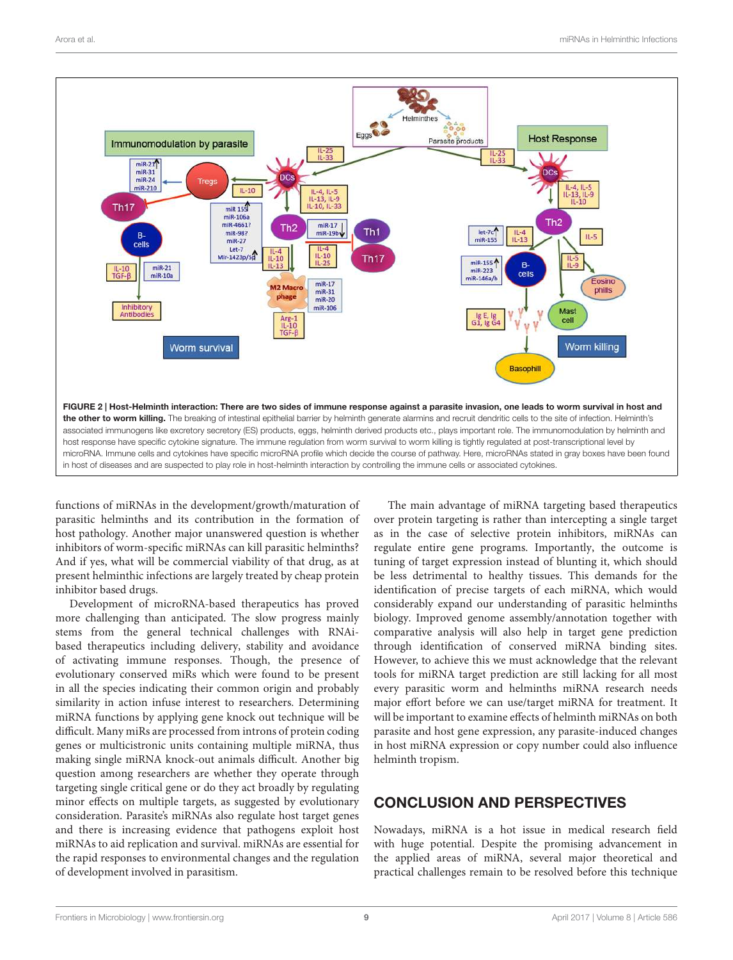

functions of miRNAs in the development/growth/maturation of parasitic helminths and its contribution in the formation of host pathology. Another major unanswered question is whether inhibitors of worm-specific miRNAs can kill parasitic helminths? And if yes, what will be commercial viability of that drug, as at present helminthic infections are largely treated by cheap protein inhibitor based drugs.

Development of microRNA-based therapeutics has proved more challenging than anticipated. The slow progress mainly stems from the general technical challenges with RNAibased therapeutics including delivery, stability and avoidance of activating immune responses. Though, the presence of evolutionary conserved miRs which were found to be present in all the species indicating their common origin and probably similarity in action infuse interest to researchers. Determining miRNA functions by applying gene knock out technique will be difficult. Many miRs are processed from introns of protein coding genes or multicistronic units containing multiple miRNA, thus making single miRNA knock-out animals difficult. Another big question among researchers are whether they operate through targeting single critical gene or do they act broadly by regulating minor effects on multiple targets, as suggested by evolutionary consideration. Parasite's miRNAs also regulate host target genes and there is increasing evidence that pathogens exploit host miRNAs to aid replication and survival. miRNAs are essential for the rapid responses to environmental changes and the regulation of development involved in parasitism.

The main advantage of miRNA targeting based therapeutics over protein targeting is rather than intercepting a single target as in the case of selective protein inhibitors, miRNAs can regulate entire gene programs. Importantly, the outcome is tuning of target expression instead of blunting it, which should be less detrimental to healthy tissues. This demands for the identification of precise targets of each miRNA, which would considerably expand our understanding of parasitic helminths biology. Improved genome assembly/annotation together with comparative analysis will also help in target gene prediction through identification of conserved miRNA binding sites. However, to achieve this we must acknowledge that the relevant tools for miRNA target prediction are still lacking for all most every parasitic worm and helminths miRNA research needs major effort before we can use/target miRNA for treatment. It will be important to examine effects of helminth miRNAs on both parasite and host gene expression, any parasite-induced changes in host miRNA expression or copy number could also influence helminth tropism.

# CONCLUSION AND PERSPECTIVES

Nowadays, miRNA is a hot issue in medical research field with huge potential. Despite the promising advancement in the applied areas of miRNA, several major theoretical and practical challenges remain to be resolved before this technique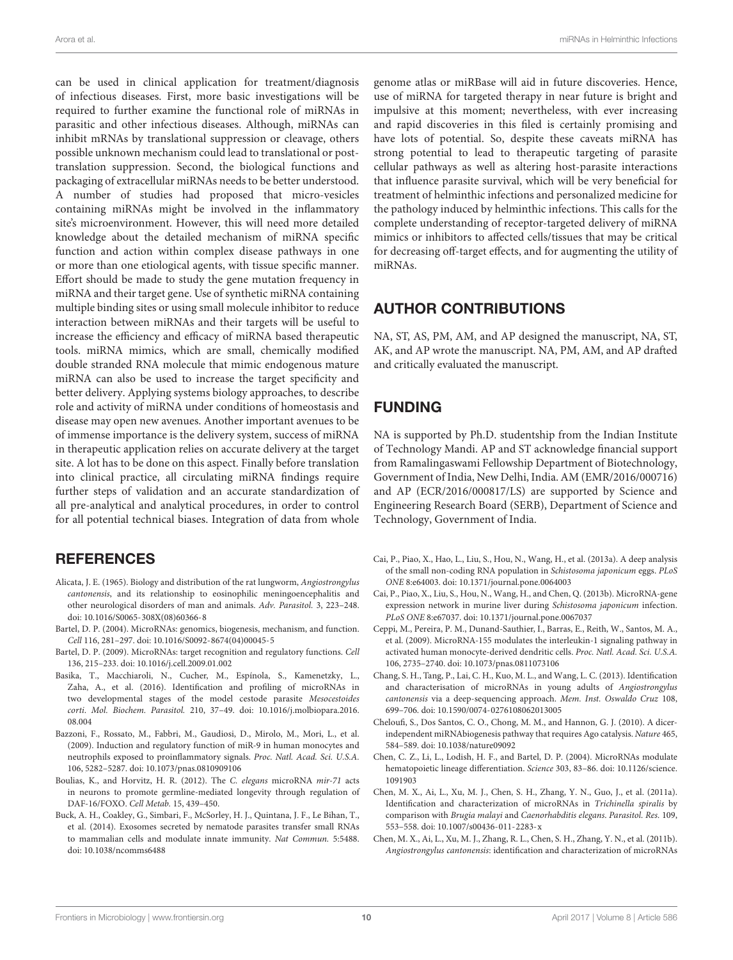can be used in clinical application for treatment/diagnosis of infectious diseases. First, more basic investigations will be required to further examine the functional role of miRNAs in parasitic and other infectious diseases. Although, miRNAs can inhibit mRNAs by translational suppression or cleavage, others possible unknown mechanism could lead to translational or posttranslation suppression. Second, the biological functions and packaging of extracellular miRNAs needs to be better understood. A number of studies had proposed that micro-vesicles containing miRNAs might be involved in the inflammatory site's microenvironment. However, this will need more detailed knowledge about the detailed mechanism of miRNA specific function and action within complex disease pathways in one or more than one etiological agents, with tissue specific manner. Effort should be made to study the gene mutation frequency in miRNA and their target gene. Use of synthetic miRNA containing multiple binding sites or using small molecule inhibitor to reduce interaction between miRNAs and their targets will be useful to increase the efficiency and efficacy of miRNA based therapeutic tools. miRNA mimics, which are small, chemically modified double stranded RNA molecule that mimic endogenous mature miRNA can also be used to increase the target specificity and better delivery. Applying systems biology approaches, to describe role and activity of miRNA under conditions of homeostasis and disease may open new avenues. Another important avenues to be of immense importance is the delivery system, success of miRNA in therapeutic application relies on accurate delivery at the target site. A lot has to be done on this aspect. Finally before translation into clinical practice, all circulating miRNA findings require further steps of validation and an accurate standardization of all pre-analytical and analytical procedures, in order to control for all potential technical biases. Integration of data from whole

### **REFERENCES**

- Alicata, J. E. (1965). Biology and distribution of the rat lungworm, Angiostrongylus cantonensis, and its relationship to eosinophilic meningoencephalitis and other neurological disorders of man and animals. Adv. Parasitol. 3, 223–248. doi: 10.1016/S0065-308X(08)60366-8
- Bartel, D. P. (2004). MicroRNAs: genomics, biogenesis, mechanism, and function. Cell 116, 281–297. doi: 10.1016/S0092-8674(04)00045-5
- Bartel, D. P. (2009). MicroRNAs: target recognition and regulatory functions. Cell 136, 215–233. doi: 10.1016/j.cell.2009.01.002
- Basika, T., Macchiaroli, N., Cucher, M., Espínola, S., Kamenetzky, L., Zaha, A., et al. (2016). Identification and profiling of microRNAs in two developmental stages of the model cestode parasite Mesocestoides corti. Mol. Biochem. Parasitol. 210, 37–49. doi: 10.1016/j.molbiopara.2016. 08.004
- Bazzoni, F., Rossato, M., Fabbri, M., Gaudiosi, D., Mirolo, M., Mori, L., et al. (2009). Induction and regulatory function of miR-9 in human monocytes and neutrophils exposed to proinflammatory signals. Proc. Natl. Acad. Sci. U.S.A. 106, 5282–5287. doi: 10.1073/pnas.0810909106
- Boulias, K., and Horvitz, H. R. (2012). The C. elegans microRNA mir-71 acts in neurons to promote germline-mediated longevity through regulation of DAF-16/FOXO. Cell Metab. 15, 439–450.
- Buck, A. H., Coakley, G., Simbari, F., McSorley, H. J., Quintana, J. F., Le Bihan, T., et al. (2014). Exosomes secreted by nematode parasites transfer small RNAs to mammalian cells and modulate innate immunity. Nat Commun. 5:5488. doi: 10.1038/ncomms6488

genome atlas or miRBase will aid in future discoveries. Hence, use of miRNA for targeted therapy in near future is bright and impulsive at this moment; nevertheless, with ever increasing and rapid discoveries in this filed is certainly promising and have lots of potential. So, despite these caveats miRNA has strong potential to lead to therapeutic targeting of parasite cellular pathways as well as altering host-parasite interactions that influence parasite survival, which will be very beneficial for treatment of helminthic infections and personalized medicine for the pathology induced by helminthic infections. This calls for the complete understanding of receptor-targeted delivery of miRNA mimics or inhibitors to affected cells/tissues that may be critical for decreasing off-target effects, and for augmenting the utility of miRNAs.

## AUTHOR CONTRIBUTIONS

NA, ST, AS, PM, AM, and AP designed the manuscript, NA, ST, AK, and AP wrote the manuscript. NA, PM, AM, and AP drafted and critically evaluated the manuscript.

# FUNDING

NA is supported by Ph.D. studentship from the Indian Institute of Technology Mandi. AP and ST acknowledge financial support from Ramalingaswami Fellowship Department of Biotechnology, Government of India, New Delhi, India. AM (EMR/2016/000716) and AP (ECR/2016/000817/LS) are supported by Science and Engineering Research Board (SERB), Department of Science and Technology, Government of India.

- Cai, P., Piao, X., Hao, L., Liu, S., Hou, N., Wang, H., et al. (2013a). A deep analysis of the small non-coding RNA population in Schistosoma japonicum eggs. PLoS ONE 8:e64003. doi: 10.1371/journal.pone.0064003
- Cai, P., Piao, X., Liu, S., Hou, N., Wang, H., and Chen, Q. (2013b). MicroRNA-gene expression network in murine liver during Schistosoma japonicum infection. PLoS ONE 8:e67037. doi: 10.1371/journal.pone.0067037
- Ceppi, M., Pereira, P. M., Dunand-Sauthier, I., Barras, E., Reith, W., Santos, M. A., et al. (2009). MicroRNA-155 modulates the interleukin-1 signaling pathway in activated human monocyte-derived dendritic cells. Proc. Natl. Acad. Sci. U.S.A. 106, 2735–2740. doi: 10.1073/pnas.0811073106
- Chang, S. H., Tang, P., Lai, C. H., Kuo, M. L., and Wang, L. C. (2013). Identification and characterisation of microRNAs in young adults of Angiostrongylus cantonensis via a deep-sequencing approach. Mem. Inst. Oswaldo Cruz 108, 699–706. doi: 10.1590/0074-0276108062013005
- Cheloufi, S., Dos Santos, C. O., Chong, M. M., and Hannon, G. J. (2010). A dicerindependent miRNAbiogenesis pathway that requires Ago catalysis. Nature 465, 584–589. doi: 10.1038/nature09092
- Chen, C. Z., Li, L., Lodish, H. F., and Bartel, D. P. (2004). MicroRNAs modulate hematopoietic lineage differentiation. Science 303, 83–86. doi: 10.1126/science. 1091903
- Chen, M. X., Ai, L., Xu, M. J., Chen, S. H., Zhang, Y. N., Guo, J., et al. (2011a). Identification and characterization of microRNAs in Trichinella spiralis by comparison with Brugia malayi and Caenorhabditis elegans. Parasitol. Res. 109, 553–558. doi: 10.1007/s00436-011-2283-x
- Chen, M. X., Ai, L., Xu, M. J., Zhang, R. L., Chen, S. H., Zhang, Y. N., et al. (2011b). Angiostrongylus cantonensis: identification and characterization of microRNAs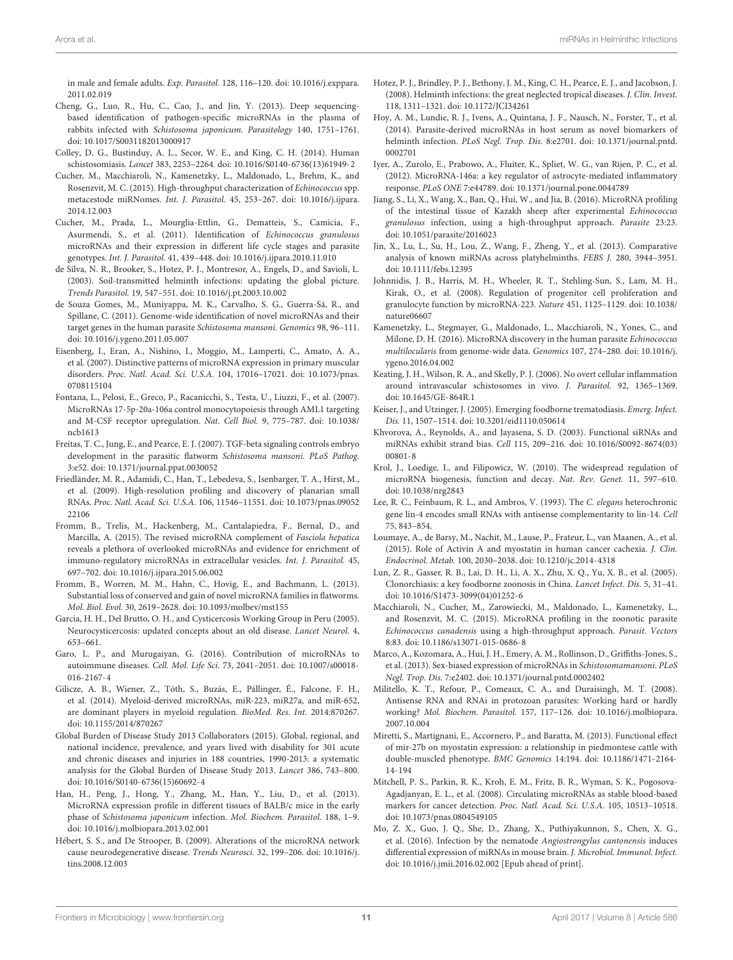in male and female adults. Exp. Parasitol. 128, 116–120. doi: 10.1016/j.exppara. 2011.02.019

- Cheng, G., Luo, R., Hu, C., Cao, J., and Jin, Y. (2013). Deep sequencingbased identification of pathogen-specific microRNAs in the plasma of rabbits infected with Schistosoma japonicum. Parasitology 140, 1751–1761. doi: 10.1017/S0031182013000917
- Colley, D. G., Bustinduy, A. L., Secor, W. E., and King, C. H. (2014). Human schistosomiasis. Lancet 383, 2253–2264. doi: 10.1016/S0140-6736(13)61949-2
- Cucher, M., Macchiaroli, N., Kamenetzky, L., Maldonado, L., Brehm, K., and Rosenzvit, M. C. (2015). High-throughput characterization of Echinococcus spp. metacestode miRNomes. Int. J. Parasitol. 45, 253–267. doi: 10.1016/j.ijpara. 2014.12.003
- Cucher, M., Prada, L., Mourglia-Ettlin, G., Dematteis, S., Camicia, F., Asurmendi, S., et al. (2011). Identification of Echinococcus granulosus microRNAs and their expression in different life cycle stages and parasite genotypes. Int. J. Parasitol. 41, 439–448. doi: 10.1016/j.ijpara.2010.11.010
- de Silva, N. R., Brooker, S., Hotez, P. J., Montresor, A., Engels, D., and Savioli, L. (2003). Soil-transmitted helminth infections: updating the global picture. Trends Parasitol. 19, 547–551. doi: 10.1016/j.pt.2003.10.002
- de Souza Gomes, M., Muniyappa, M. K., Carvalho, S. G., Guerra-Sá, R., and Spillane, C. (2011). Genome-wide identification of novel microRNAs and their target genes in the human parasite Schistosoma mansoni. Genomics 98, 96–111. doi: 10.1016/j.ygeno.2011.05.007
- Eisenberg, I., Eran, A., Nishino, I., Moggio, M., Lamperti, C., Amato, A. A., et al. (2007). Distinctive patterns of microRNA expression in primary muscular disorders. Proc. Natl. Acad. Sci. U.S.A. 104, 17016–17021. doi: 10.1073/pnas. 0708115104
- Fontana, L., Pelosi, E., Greco, P., Racanicchi, S., Testa, U., Liuzzi, F., et al. (2007). MicroRNAs 17-5p-20a-106a control monocytopoiesis through AML1 targeting and M-CSF receptor upregulation. Nat. Cell Biol. 9, 775–787. doi: 10.1038/ ncb1613
- Freitas, T. C., Jung, E., and Pearce, E. J. (2007). TGF-beta signaling controls embryo development in the parasitic flatworm Schistosoma mansoni. PLoS Pathog. 3:e52. doi: 10.1371/journal.ppat.0030052
- Friedländer, M. R., Adamidi, C., Han, T., Lebedeva, S., Isenbarger, T. A., Hirst, M., et al. (2009). High-resolution profiling and discovery of planarian small RNAs. Proc. Natl. Acad. Sci. U.S.A. 106, 11546–11551. doi: 10.1073/pnas.09052 22106
- Fromm, B., Trelis, M., Hackenberg, M., Cantalapiedra, F., Bernal, D., and Marcilla, A. (2015). The revised microRNA complement of Fasciola hepatica reveals a plethora of overlooked microRNAs and evidence for enrichment of immuno-regulatory microRNAs in extracellular vesicles. Int. J. Parasitol. 45, 697–702. doi: 10.1016/j.ijpara.2015.06.002
- Fromm, B., Worren, M. M., Hahn, C., Hovig, E., and Bachmann, L. (2013). Substantial loss of conserved and gain of novel microRNA families in flatworms. Mol. Biol. Evol. 30, 2619–2628. doi: 10.1093/molbev/mst155
- Garcia, H. H., Del Brutto, O. H., and Cysticercosis Working Group in Peru (2005). Neurocysticercosis: updated concepts about an old disease. Lancet Neurol. 4, 653–661.
- Garo, L. P., and Murugaiyan, G. (2016). Contribution of microRNAs to autoimmune diseases. Cell. Mol. Life Sci. 73, 2041–2051. doi: 10.1007/s00018- 016-2167-4
- Gilicze, A. B., Wiener, Z., Tóth, S., Buzás, E., Pállinger, É., Falcone, F. H., et al. (2014). Myeloid-derived microRNAs, miR-223, miR27a, and miR-652, are dominant players in myeloid regulation. BioMed. Res. Int. 2014:870267. doi: 10.1155/2014/870267
- Global Burden of Disease Study 2013 Collaborators (2015). Global, regional, and national incidence, prevalence, and years lived with disability for 301 acute and chronic diseases and injuries in 188 countries, 1990-2013: a systematic analysis for the Global Burden of Disease Study 2013. Lancet 386, 743–800. doi: 10.1016/S0140-6736(15)60692-4
- Han, H., Peng, J., Hong, Y., Zhang, M., Han, Y., Liu, D., et al. (2013). MicroRNA expression profile in different tissues of BALB/c mice in the early phase of Schistosoma japonicum infection. Mol. Biochem. Parasitol. 188, 1–9. doi: 10.1016/j.molbiopara.2013.02.001
- Hébert, S. S., and De Strooper, B. (2009). Alterations of the microRNA network cause neurodegenerative disease. Trends Neurosci. 32, 199–206. doi: 10.1016/j. tins.2008.12.003
- Hotez, P. J., Brindley, P. J., Bethony, J. M., King, C. H., Pearce, E. J., and Jacobson, J. (2008). Helminth infections: the great neglected tropical diseases. J. Clin. Invest. 118, 1311–1321. doi: 10.1172/JCI34261
- Hoy, A. M., Lundie, R. J., Ivens, A., Quintana, J. F., Nausch, N., Forster, T., et al. (2014). Parasite-derived microRNAs in host serum as novel biomarkers of helminth infection. PLoS Negl. Trop. Dis. 8:e2701. doi: 10.1371/journal.pntd. 0002701
- Iyer, A., Zurolo, E., Prabowo, A., Fluiter, K., Spliet, W. G., van Rijen, P. C., et al. (2012). MicroRNA-146a: a key regulator of astrocyte-mediated inflammatory response. PLoS ONE 7:e44789. doi: 10.1371/journal.pone.0044789
- Jiang, S., Li, X., Wang, X., Ban, Q., Hui, W., and Jia, B. (2016). MicroRNA profiling of the intestinal tissue of Kazakh sheep after experimental Echinococcus granulosus infection, using a high-throughput approach. Parasite 23:23. doi: 10.1051/parasite/2016023
- Jin, X., Lu, L., Su, H., Lou, Z., Wang, F., Zheng, Y., et al. (2013). Comparative analysis of known miRNAs across platyhelminths. FEBS J. 280, 3944–3951. doi: 10.1111/febs.12395
- Johnnidis, J. B., Harris, M. H., Wheeler, R. T., Stehling-Sun, S., Lam, M. H., Kirak, O., et al. (2008). Regulation of progenitor cell proliferation and granulocyte function by microRNA-223. Nature 451, 1125–1129. doi: 10.1038/ nature06607
- Kamenetzky, L., Stegmayer, G., Maldonado, L., Macchiaroli, N., Yones, C., and Milone, D. H. (2016). MicroRNA discovery in the human parasite Echinococcus multilocularis from genome-wide data. Genomics 107, 274–280. doi: 10.1016/j. ygeno.2016.04.002
- Keating, J. H., Wilson, R. A., and Skelly, P. J. (2006). No overt cellular inflammation around intravascular schistosomes in vivo. J. Parasitol. 92, 1365–1369. doi: 10.1645/GE-864R.1
- Keiser, J., and Utzinger, J. (2005). Emerging foodborne trematodiasis. Emerg. Infect. Dis. 11, 1507–1514. doi: 10.3201/eid1110.050614
- Khvorova, A., Reynolds, A., and Jayasena, S. D. (2003). Functional siRNAs and miRNAs exhibit strand bias. Cell 115, 209–216. doi: 10.1016/S0092-8674(03) 00801-8
- Krol, J., Loedige, I., and Filipowicz, W. (2010). The widespread regulation of microRNA biogenesis, function and decay. Nat. Rev. Genet. 11, 597–610. doi: 10.1038/nrg2843
- Lee, R. C., Feinbaum, R. L., and Ambros, V. (1993). The C. elegans heterochronic gene lin-4 encodes small RNAs with antisense complementarity to lin-14. Cell 75, 843–854.
- Loumaye, A., de Barsy, M., Nachit, M., Lause, P., Frateur, L., van Maanen, A., et al. (2015). Role of Activin A and myostatin in human cancer cachexia. J. Clin. Endocrinol. Metab. 100, 2030–2038. doi: 10.1210/jc.2014-4318
- Lun, Z. R., Gasser, R. B., Lai, D. H., Li, A. X., Zhu, X. Q., Yu, X. B., et al. (2005). Clonorchiasis: a key foodborne zoonosis in China. Lancet Infect. Dis. 5, 31–41. doi: 10.1016/S1473-3099(04)01252-6
- Macchiaroli, N., Cucher, M., Zarowiecki, M., Maldonado, L., Kamenetzky, L., and Rosenzvit, M. C. (2015). MicroRNA profiling in the zoonotic parasite Echinococcus canadensis using a high-throughput approach. Parasit. Vectors 8:83. doi: 10.1186/s13071-015-0686-8
- Marco, A., Kozomara, A., Hui, J. H., Emery, A. M., Rollinson, D., Griffiths-Jones, S., et al. (2013). Sex-biased expression of microRNAs in Schistosomamansoni. PLoS Negl. Trop. Dis. 7:e2402. doi: 10.1371/journal.pntd.0002402
- Militello, K. T., Refour, P., Comeaux, C. A., and Duraisingh, M. T. (2008). Antisense RNA and RNAi in protozoan parasites: Working hard or hardly working? Mol. Biochem. Parasitol. 157, 117–126. doi: 10.1016/j.molbiopara. 2007.10.004
- Miretti, S., Martignani, E., Accornero, P., and Baratta, M. (2013). Functional effect of mir-27b on myostatin expression: a relationship in piedmontese cattle with double-muscled phenotype. BMC Genomics 14:194. doi: 10.1186/1471-2164- 14-194
- Mitchell, P. S., Parkin, R. K., Kroh, E. M., Fritz, B. R., Wyman, S. K., Pogosova-Agadjanyan, E. L., et al. (2008). Circulating microRNAs as stable blood-based markers for cancer detection. Proc. Natl. Acad. Sci. U.S.A. 105, 10513–10518. doi: 10.1073/pnas.0804549105
- Mo, Z. X., Guo, J. Q., She, D., Zhang, X., Puthiyakunnon, S., Chen, X. G., et al. (2016). Infection by the nematode Angiostrongylus cantonensis induces differential expression of miRNAs in mouse brain. J. Microbiol. Immunol. Infect. doi: 10.1016/j.jmii.2016.02.002 [Epub ahead of print].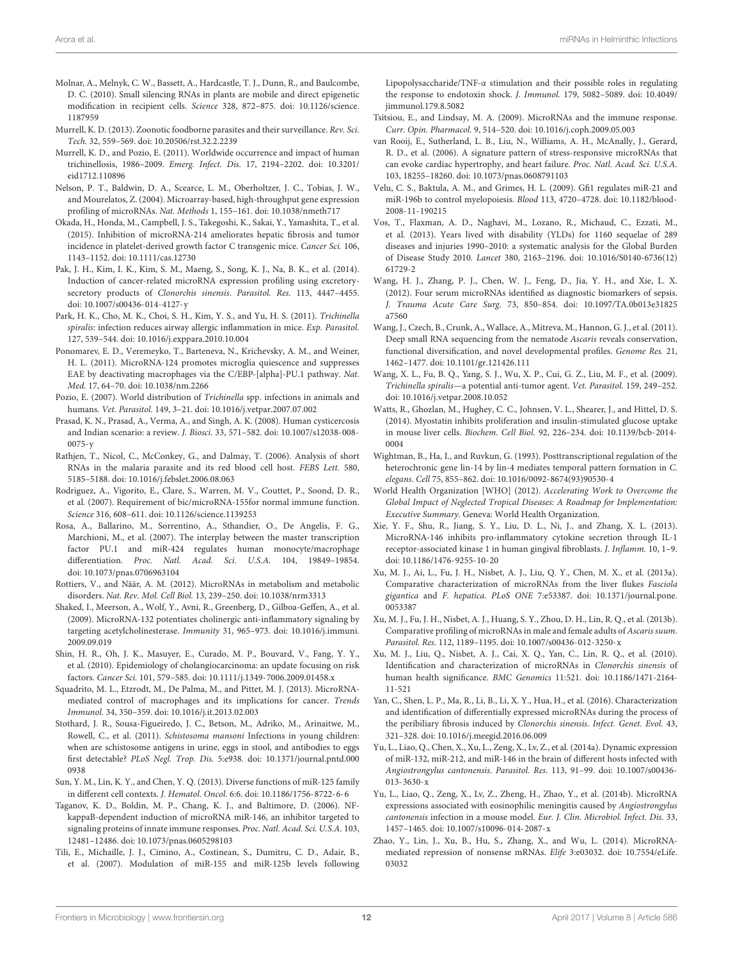- Molnar, A., Melnyk, C. W., Bassett, A., Hardcastle, T. J., Dunn, R., and Baulcombe, D. C. (2010). Small silencing RNAs in plants are mobile and direct epigenetic modification in recipient cells. Science 328, 872–875. doi: 10.1126/science. 1187959
- Murrell, K. D. (2013). Zoonotic foodborne parasites and their surveillance. Rev. Sci. Tech. 32, 559–569. doi: 10.20506/rst.32.2.2239
- Murrell, K. D., and Pozio, E. (2011). Worldwide occurrence and impact of human trichinellosis, 1986–2009. Emerg. Infect. Dis. 17, 2194–2202. doi: 10.3201/ eid1712.110896
- Nelson, P. T., Baldwin, D. A., Scearce, L. M., Oberholtzer, J. C., Tobias, J. W., and Mourelatos, Z. (2004). Microarray-based, high-throughput gene expression profiling of microRNAs. Nat. Methods 1, 155–161. doi: 10.1038/nmeth717
- Okada, H., Honda, M., Campbell, J. S., Takegoshi, K., Sakai, Y., Yamashita, T., et al. (2015). Inhibition of microRNA-214 ameliorates hepatic fibrosis and tumor incidence in platelet-derived growth factor C transgenic mice. Cancer Sci. 106, 1143–1152. doi: 10.1111/cas.12730
- Pak, J. H., Kim, I. K., Kim, S. M., Maeng, S., Song, K. J., Na, B. K., et al. (2014). Induction of cancer-related microRNA expression profiling using excretorysecretory products of Clonorchis sinensis. Parasitol. Res. 113, 4447–4455. doi: 10.1007/s00436-014-4127-y
- Park, H. K., Cho, M. K., Choi, S. H., Kim, Y. S., and Yu, H. S. (2011). Trichinella spiralis: infection reduces airway allergic inflammation in mice. Exp. Parasitol. 127, 539–544. doi: 10.1016/j.exppara.2010.10.004
- Ponomarev, E. D., Veremeyko, T., Barteneva, N., Krichevsky, A. M., and Weiner, H. L. (2011). MicroRNA-124 promotes microglia quiescence and suppresses EAE by deactivating macrophages via the C/EBP-[alpha]-PU.1 pathway. Nat. Med. 17, 64–70. doi: 10.1038/nm.2266
- Pozio, E. (2007). World distribution of Trichinella spp. infections in animals and humans. Vet. Parasitol. 149, 3–21. doi: 10.1016/j.vetpar.2007.07.002
- Prasad, K. N., Prasad, A., Verma, A., and Singh, A. K. (2008). Human cysticercosis and Indian scenario: a review. J. Biosci. 33, 571–582. doi: 10.1007/s12038-008- 0075-y
- Rathjen, T., Nicol, C., McConkey, G., and Dalmay, T. (2006). Analysis of short RNAs in the malaria parasite and its red blood cell host. FEBS Lett. 580, 5185–5188. doi: 10.1016/j.febslet.2006.08.063
- Rodriguez, A., Vigorito, E., Clare, S., Warren, M. V., Couttet, P., Soond, D. R., et al. (2007). Requirement of bic/microRNA-155for normal immune function. Science 316, 608–611. doi: 10.1126/science.1139253
- Rosa, A., Ballarino, M., Sorrentino, A., Sthandier, O., De Angelis, F. G., Marchioni, M., et al. (2007). The interplay between the master transcription factor PU.1 and miR-424 regulates human monocyte/macrophage differentiation. Proc. Natl. Acad. Sci. U.S.A. 104, 19849–19854. doi: 10.1073/pnas.0706963104
- Rottiers, V., and Näär, A. M. (2012). MicroRNAs in metabolism and metabolic disorders. Nat. Rev. Mol. Cell Biol. 13, 239–250. doi: 10.1038/nrm3313
- Shaked, I., Meerson, A., Wolf, Y., Avni, R., Greenberg, D., Gilboa-Geffen, A., et al. (2009). MicroRNA-132 potentiates cholinergic anti-inflammatory signaling by targeting acetylcholinesterase. Immunity 31, 965–973. doi: 10.1016/j.immuni. 2009.09.019
- Shin, H. R., Oh, J. K., Masuyer, E., Curado, M. P., Bouvard, V., Fang, Y. Y., et al. (2010). Epidemiology of cholangiocarcinoma: an update focusing on risk factors. Cancer Sci. 101, 579–585. doi: 10.1111/j.1349-7006.2009.01458.x
- Squadrito, M. L., Etzrodt, M., De Palma, M., and Pittet, M. J. (2013). MicroRNAmediated control of macrophages and its implications for cancer. Trends Immunol. 34, 350–359. doi: 10.1016/j.it.2013.02.003
- Stothard, J. R., Sousa-Figueiredo, J. C., Betson, M., Adriko, M., Arinaitwe, M., Rowell, C., et al. (2011). Schistosoma mansoni Infections in young children: when are schistosome antigens in urine, eggs in stool, and antibodies to eggs first detectable? PLoS Negl. Trop. Dis. 5:e938. doi: 10.1371/journal.pntd.000 0938
- Sun, Y. M., Lin, K. Y., and Chen, Y. Q. (2013). Diverse functions of miR-125 family in different cell contexts. J. Hematol. Oncol. 6:6. doi: 10.1186/1756-8722-6-6
- Taganov, K. D., Boldin, M. P., Chang, K. J., and Baltimore, D. (2006). NFkappaB-dependent induction of microRNA miR-146, an inhibitor targeted to signaling proteins of innate immune responses. Proc. Natl. Acad. Sci. U.S.A. 103, 12481–12486. doi: 10.1073/pnas.0605298103
- Tili, E., Michaille, J. J., Cimino, A., Costinean, S., Dumitru, C. D., Adair, B., et al. (2007). Modulation of miR-155 and miR-125b levels following

Lipopolysaccharide/TNF-α stimulation and their possible roles in regulating the response to endotoxin shock. J. Immunol. 179, 5082–5089. doi: 10.4049/ jimmunol.179.8.5082

- Tsitsiou, E., and Lindsay, M. A. (2009). MicroRNAs and the immune response. Curr. Opin. Pharmacol. 9, 514–520. doi: 10.1016/j.coph.2009.05.003
- van Rooij, E., Sutherland, L. B., Liu, N., Williams, A. H., McAnally, J., Gerard, R. D., et al. (2006). A signature pattern of stress-responsive microRNAs that can evoke cardiac hypertrophy, and heart failure. Proc. Natl. Acad. Sci. U.S.A. 103, 18255–18260. doi: 10.1073/pnas.0608791103
- Velu, C. S., Baktula, A. M., and Grimes, H. L. (2009). Gfi1 regulates miR-21 and miR-196b to control myelopoiesis. Blood 113, 4720–4728. doi: 10.1182/blood-2008-11-190215
- Vos, T., Flaxman, A. D., Naghavi, M., Lozano, R., Michaud, C., Ezzati, M., et al. (2013). Years lived with disability (YLDs) for 1160 sequelae of 289 diseases and injuries 1990–2010: a systematic analysis for the Global Burden of Disease Study 2010. Lancet 380, 2163–2196. doi: 10.1016/S0140-6736(12) 61729-2
- Wang, H. J., Zhang, P. J., Chen, W. J., Feng, D., Jia, Y. H., and Xie, L. X. (2012). Four serum microRNAs identified as diagnostic biomarkers of sepsis. J. Trauma Acute Care Surg. 73, 850–854. doi: 10.1097/TA.0b013e31825 a7560
- Wang, J., Czech, B., Crunk, A., Wallace, A., Mitreva, M., Hannon, G. J., et al. (2011). Deep small RNA sequencing from the nematode Ascaris reveals conservation, functional diversification, and novel developmental profiles. Genome Res. 21, 1462–1477. doi: 10.1101/gr.121426.111
- Wang, X. L., Fu, B. Q., Yang, S. J., Wu, X. P., Cui, G. Z., Liu, M. F., et al. (2009). Trichinella spiralis—a potential anti-tumor agent. Vet. Parasitol. 159, 249–252. doi: 10.1016/j.vetpar.2008.10.052
- Watts, R., Ghozlan, M., Hughey, C. C., Johnsen, V. L., Shearer, J., and Hittel, D. S. (2014). Myostatin inhibits proliferation and insulin-stimulated glucose uptake in mouse liver cells. Biochem. Cell Biol. 92, 226–234. doi: 10.1139/bcb-2014- 0004
- Wightman, B., Ha, I., and Ruvkun, G. (1993). Posttranscriptional regulation of the heterochronic gene lin-14 by lin-4 mediates temporal pattern formation in C. elegans. Cell 75, 855–862. doi: 10.1016/0092-8674(93)90530-4
- World Health Organization [WHO] (2012). Accelerating Work to Overcome the Global Impact of Neglected Tropical Diseases: A Roadmap for Implementation: Executive Summary. Geneva: World Health Organization.
- Xie, Y. F., Shu, R., Jiang, S. Y., Liu, D. L., Ni, J., and Zhang, X. L. (2013). MicroRNA-146 inhibits pro-inflammatory cytokine secretion through IL-1 receptor-associated kinase 1 in human gingival fibroblasts. J. Inflamm. 10, 1–9. doi: 10.1186/1476-9255-10-20
- Xu, M. J., Ai, L., Fu, J. H., Nisbet, A. J., Liu, Q. Y., Chen, M. X., et al. (2013a). Comparative characterization of microRNAs from the liver flukes Fasciola gigantica and F. hepatica. PLoS ONE 7:e53387. doi: 10.1371/journal.pone. 0053387
- Xu, M. J., Fu, J. H., Nisbet, A. J., Huang, S. Y., Zhou, D. H., Lin, R. Q., et al. (2013b). Comparative profiling of microRNAs in male and female adults of Ascaris suum. Parasitol. Res. 112, 1189–1195. doi: 10.1007/s00436-012-3250-x
- Xu, M. J., Liu, Q., Nisbet, A. J., Cai, X. Q., Yan, C., Lin, R. Q., et al. (2010). Identification and characterization of microRNAs in Clonorchis sinensis of human health significance. BMC Genomics 11:521. doi: 10.1186/1471-2164- 11-521
- Yan, C., Shen, L. P., Ma, R., Li, B., Li, X. Y., Hua, H., et al. (2016). Characterization and identification of differentially expressed microRNAs during the process of the peribiliary fibrosis induced by Clonorchis sinensis. Infect. Genet. Evol. 43, 321–328. doi: 10.1016/j.meegid.2016.06.009
- Yu, L., Liao, Q., Chen, X., Xu, L., Zeng, X., Lv, Z., et al. (2014a). Dynamic expression of miR-132, miR-212, and miR-146 in the brain of different hosts infected with Angiostrongylus cantonensis. Parasitol. Res. 113, 91–99. doi: 10.1007/s00436- 013-3630-x
- Yu, L., Liao, Q., Zeng, X., Lv, Z., Zheng, H., Zhao, Y., et al. (2014b). MicroRNA expressions associated with eosinophilic meningitis caused by Angiostrongylus cantonensis infection in a mouse model. Eur. J. Clin. Microbiol. Infect. Dis. 33, 1457–1465. doi: 10.1007/s10096-014-2087-x
- Zhao, Y., Lin, J., Xu, B., Hu, S., Zhang, X., and Wu, L. (2014). MicroRNAmediated repression of nonsense mRNAs. Elife 3:e03032. doi: 10.7554/eLife. 03032